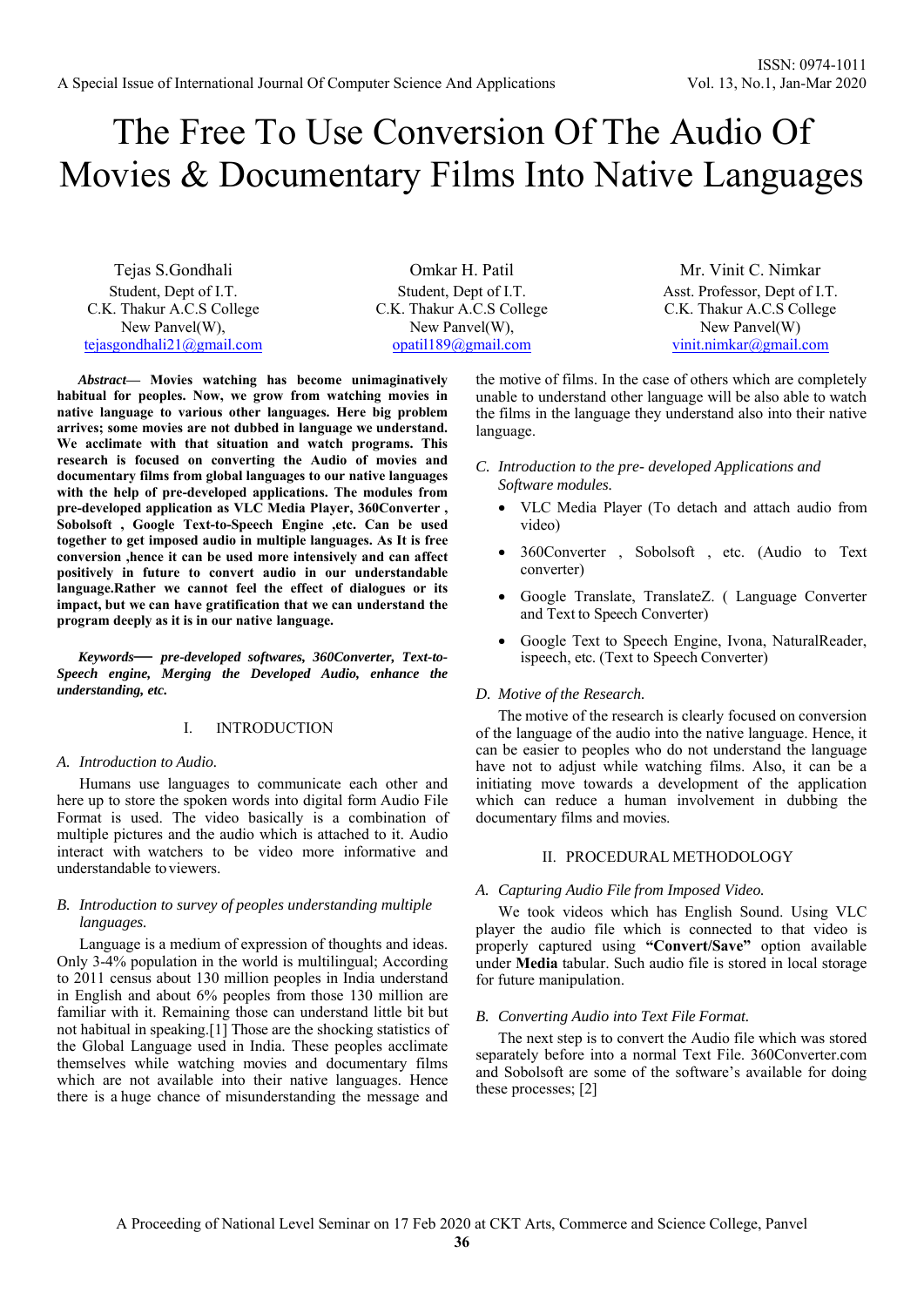# The Free To Use Conversion Of The Audio Of Movies & Documentary Films Into Native Languages

Tejas S.Gondhali Student, Dept of I.T. C.K. Thakur A.C.S College New Panvel(W), tejasgondhali21@gmail.com

Omkar H. Patil Student, Dept of I.T. C.K. Thakur A.C.S College New Panvel(W), opatil189@gmail.com

*Abstract***— Movies watching has become unimaginatively habitual for peoples. Now, we grow from watching movies in native language to various other languages. Here big problem arrives; some movies are not dubbed in language we understand. We acclimate with that situation and watch programs. This research is focused on converting the Audio of movies and documentary films from global languages to our native languages with the help of pre-developed applications. The modules from pre-developed application as VLC Media Player, 360Converter , Sobolsoft , Google Text-to-Speech Engine ,etc. Can be used together to get imposed audio in multiple languages. As It is free conversion ,hence it can be used more intensively and can affect positively in future to convert audio in our understandable language.Rather we cannot feel the effect of dialogues or its impact, but we can have gratification that we can understand the program deeply as it is in our native language.** 

*Keywords— pre-developed softwares, 360Converter, Text-to-Speech engine, Merging the Developed Audio, enhance the understanding, etc.* 

# I. INTRODUCTION

#### *A. Introduction to Audio.*

Humans use languages to communicate each other and here up to store the spoken words into digital form Audio File Format is used. The video basically is a combination of multiple pictures and the audio which is attached to it. Audio interact with watchers to be video more informative and understandable to viewers.

# *B. Introduction to survey of peoples understanding multiple languages.*

Language is a medium of expression of thoughts and ideas. Only 3-4% population in the world is multilingual; According to 2011 census about 130 million peoples in India understand in English and about 6% peoples from those 130 million are familiar with it. Remaining those can understand little bit but not habitual in speaking.[1] Those are the shocking statistics of the Global Language used in India. These peoples acclimate themselves while watching movies and documentary films which are not available into their native languages. Hence there is a huge chance of misunderstanding the message and

the motive of films. In the case of others which are completely unable to understand other language will be also able to watch the films in the language they understand also into their native language.

- *C. Introduction to the pre- developed Applications and Software modules.* 
	- VLC Media Player (To detach and attach audio from video)
	- 360Converter , Sobolsoft , etc. (Audio to Text converter)
	- Google Translate, TranslateZ. ( Language Converter and Text to Speech Converter)
	- Google Text to Speech Engine, Ivona, NaturalReader, ispeech, etc. (Text to Speech Converter)

#### *D. Motive of the Research.*

The motive of the research is clearly focused on conversion of the language of the audio into the native language. Hence, it can be easier to peoples who do not understand the language have not to adjust while watching films. Also, it can be a initiating move towards a development of the application which can reduce a human involvement in dubbing the documentary films and movies.

## II. PROCEDURAL METHODOLOGY

## *A. Capturing Audio File from Imposed Video.*

We took videos which has English Sound. Using VLC player the audio file which is connected to that video is properly captured using **"Convert/Save"** option available under **Media** tabular. Such audio file is stored in local storage for future manipulation.

#### *B. Converting Audio into Text File Format.*

The next step is to convert the Audio file which was stored separately before into a normal Text File. 360Converter.com and Sobolsoft are some of the software's available for doing these processes; [2]

Mr. Vinit C. Nimkar Asst. Professor, Dept of I.T. C.K. Thakur A.C.S College New Panvel(W) vinit.nimkar@gmail.com